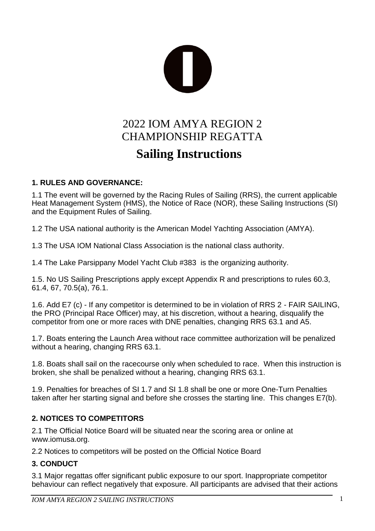

# 2022 IOM AMYA REGION 2 CHAMPIONSHIP REGATTA **Sailing Instructions**

#### **1. RULES AND GOVERNANCE:**

1.1 The event will be governed by the Racing Rules of Sailing (RRS), the current applicable Heat Management System (HMS), the Notice of Race (NOR), these Sailing Instructions (SI) and the Equipment Rules of Sailing.

1.2 The USA national authority is the American Model Yachting Association (AMYA).

1.3 The USA IOM National Class Association is the national class authority.

1.4 The Lake Parsippany Model Yacht Club #383 is the organizing authority.

1.5. No US Sailing Prescriptions apply except Appendix R and prescriptions to rules 60.3, 61.4, 67, 70.5(a), 76.1.

1.6. Add E7 (c) - If any competitor is determined to be in violation of RRS 2 - FAIR SAILING, the PRO (Principal Race Officer) may, at his discretion, without a hearing, disqualify the competitor from one or more races with DNE penalties, changing RRS 63.1 and A5.

1.7. Boats entering the Launch Area without race committee authorization will be penalized without a hearing, changing RRS 63.1.

1.8. Boats shall sail on the racecourse only when scheduled to race. When this instruction is broken, she shall be penalized without a hearing, changing RRS 63.1.

1.9. Penalties for breaches of SI 1.7 and SI 1.8 shall be one or more One-Turn Penalties taken after her starting signal and before she crosses the starting line. This changes E7(b).

# **2. NOTICES TO COMPETITORS**

2.1 The Official Notice Board will be situated near the scoring area or online at www.iomusa.org.

2.2 Notices to competitors will be posted on the Official Notice Board

# **3. CONDUCT**

3.1 Major regattas offer significant public exposure to our sport. Inappropriate competitor behaviour can reflect negatively that exposure. All participants are advised that their actions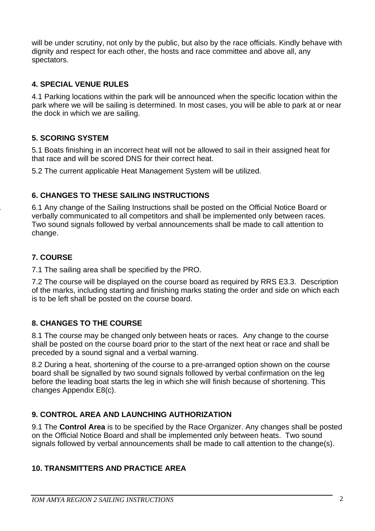will be under scrutiny, not only by the public, but also by the race officials. Kindly behave with dignity and respect for each other, the hosts and race committee and above all, any spectators.

# **4. SPECIAL VENUE RULES**

4.1 Parking locations within the park will be announced when the specific location within the park where we will be sailing is determined. In most cases, you will be able to park at or near the dock in which we are sailing.

# **5. SCORING SYSTEM**

5.1 Boats finishing in an incorrect heat will not be allowed to sail in their assigned heat for that race and will be scored DNS for their correct heat.

5.2 The current applicable Heat Management System will be utilized.

# **6. CHANGES TO THESE SAILING INSTRUCTIONS**

6. 6.1 Any change of the Sailing Instructions shall be posted on the Official Notice Board or verbally communicated to all competitors and shall be implemented only between races. Two sound signals followed by verbal announcements shall be made to call attention to change.

#### **7. COURSE**

7.1 The sailing area shall be specified by the PRO.

7.2 The course will be displayed on the course board as required by RRS E3.3. Description of the marks, including starting and finishing marks stating the order and side on which each is to be left shall be posted on the course board.

# **8. CHANGES TO THE COURSE**

8.1 The course may be changed only between heats or races. Any change to the course shall be posted on the course board prior to the start of the next heat or race and shall be preceded by a sound signal and a verbal warning.

8.2 During a heat, shortening of the course to a pre-arranged option shown on the course board shall be signalled by two sound signals followed by verbal confirmation on the leg before the leading boat starts the leg in which she will finish because of shortening. This changes Appendix E8(c).

# **9. CONTROL AREA AND LAUNCHING AUTHORIZATION**

9.1 The **Control Area** is to be specified by the Race Organizer. Any changes shall be posted on the Official Notice Board and shall be implemented only between heats. Two sound signals followed by verbal announcements shall be made to call attention to the change(s).

#### **10. TRANSMITTERS AND PRACTICE AREA**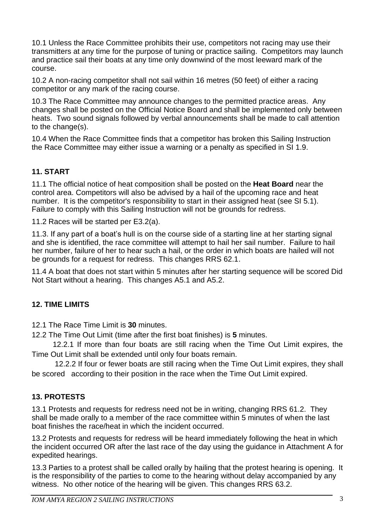10.1 Unless the Race Committee prohibits their use, competitors not racing may use their transmitters at any time for the purpose of tuning or practice sailing. Competitors may launch and practice sail their boats at any time only downwind of the most leeward mark of the course.

10.2 A non-racing competitor shall not sail within 16 metres (50 feet) of either a racing competitor or any mark of the racing course.

10.3 The Race Committee may announce changes to the permitted practice areas. Any changes shall be posted on the Official Notice Board and shall be implemented only between heats. Two sound signals followed by verbal announcements shall be made to call attention to the change(s).

10.4 When the Race Committee finds that a competitor has broken this Sailing Instruction the Race Committee may either issue a warning or a penalty as specified in SI 1.9.

# **11. START**

11.1 The official notice of heat composition shall be posted on the **Heat Board** near the control area. Competitors will also be advised by a hail of the upcoming race and heat number. It is the competitor's responsibility to start in their assigned heat (see SI 5.1). Failure to comply with this Sailing Instruction will not be grounds for redress.

11.2 Races will be started per E3.2(a).

11.3. If any part of a boat's hull is on the course side of a starting line at her starting signal and she is identified, the race committee will attempt to hail her sail number. Failure to hail her number, failure of her to hear such a hail, or the order in which boats are hailed will not be grounds for a request for redress. This changes RRS 62.1.

11.4 A boat that does not start within 5 minutes after her starting sequence will be scored Did Not Start without a hearing. This changes A5.1 and A5.2.

# **12. TIME LIMITS**

12.1 The Race Time Limit is **30** minutes.

12.2 The Time Out Limit (time after the first boat finishes) is **5** minutes.

 12.2.1 If more than four boats are still racing when the Time Out Limit expires, the Time Out Limit shall be extended until only four boats remain.

 12.2.2 If four or fewer boats are still racing when the Time Out Limit expires, they shall be scored according to their position in the race when the Time Out Limit expired.

# **13. PROTESTS**

13.1 Protests and requests for redress need not be in writing, changing RRS 61.2. They shall be made orally to a member of the race committee within 5 minutes of when the last boat finishes the race/heat in which the incident occurred.

13.2 Protests and requests for redress will be heard immediately following the heat in which the incident occurred OR after the last race of the day using the guidance in Attachment A for expedited hearings.

13.3 Parties to a protest shall be called orally by hailing that the protest hearing is opening. It is the responsibility of the parties to come to the hearing without delay accompanied by any witness. No other notice of the hearing will be given. This changes RRS 63.2.